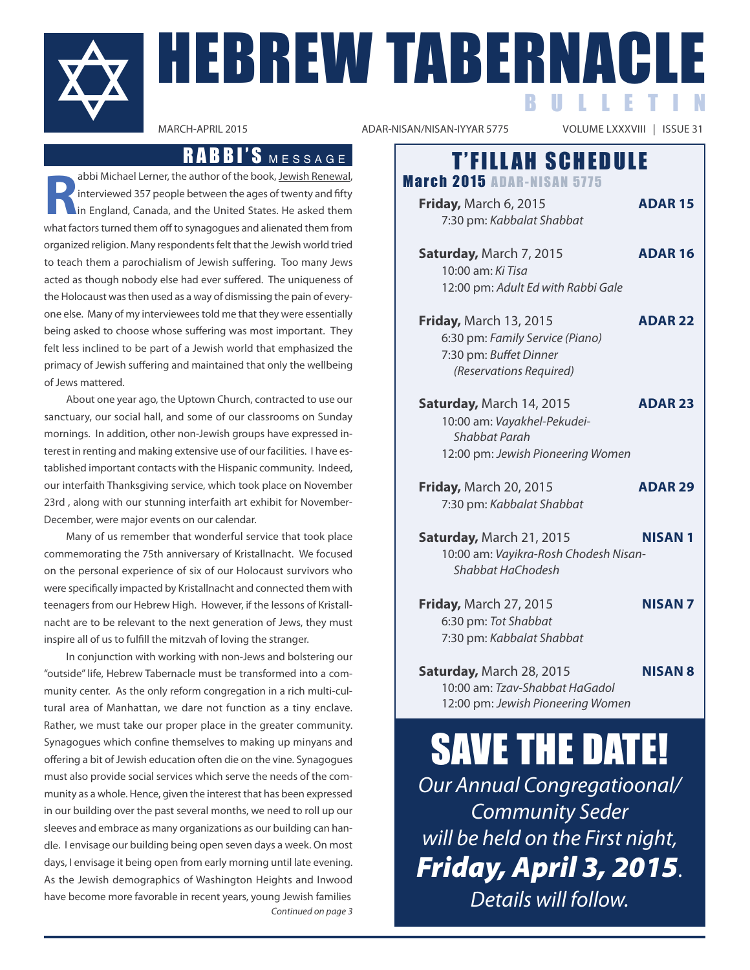

EBREW TABERNACLE B U L L E T I N

**R** abbi Michael Lerner, the author of the book, Jewish Renewal, interviewed 357 people between the ages of twenty and fifty in England, Canada, and the United States. He asked them what factors turned them off to synagogues and alienated them from organized religion. Many respondents felt that the Jewish world tried to teach them a parochialism of Jewish suffering. Too many Jews acted as though nobody else had ever suffered. The uniqueness of the Holocaust was then used as a way of dismissing the pain of everyone else. Many of my interviewees told me that they were essentially being asked to choose whose suffering was most important. They felt less inclined to be part of a Jewish world that emphasized the primacy of Jewish suffering and maintained that only the wellbeing of Jews mattered.

About one year ago, the Uptown Church, contracted to use our sanctuary, our social hall, and some of our classrooms on Sunday mornings. In addition, other non-Jewish groups have expressed interest in renting and making extensive use of our facilities. I have established important contacts with the Hispanic community. Indeed, our interfaith Thanksgiving service, which took place on November 23rd , along with our stunning interfaith art exhibit for November-December, were major events on our calendar.

Many of us remember that wonderful service that took place commemorating the 75th anniversary of Kristallnacht. We focused on the personal experience of six of our Holocaust survivors who were specifically impacted by Kristallnacht and connected them with teenagers from our Hebrew High. However, if the lessons of Kristallnacht are to be relevant to the next generation of Jews, they must inspire all of us to fulfill the mitzvah of loving the stranger.

In conjunction with working with non-Jews and bolstering our "outside" life, Hebrew Tabernacle must be transformed into a community center. As the only reform congregation in a rich multi-cultural area of Manhattan, we dare not function as a tiny enclave. Rather, we must take our proper place in the greater community. Synagogues which confine themselves to making up minyans and offering a bit of Jewish education often die on the vine. Synagogues must also provide social services which serve the needs of the community as a whole. Hence, given the interest that has been expressed in our building over the past several months, we need to roll up our sleeves and embrace as many organizations as our building can handle. I envisage our building being open seven days a week. On most days, I envisage it being open from early morning until late evening. As the Jewish demographics of Washington Heights and Inwood have become more favorable in recent years, young Jewish families Continued on page 3

ADAR-NISAN/NISAN-IYYAR 5775

## RABBI'S MESSAGE | T'FILLAH SCHEDULE

**March 2015 ADAR-NISAN 5775** 

| <b>Friday, March 6, 2015</b> | <b>ADAR 15</b> |
|------------------------------|----------------|
| 7:30 pm: Kabbalat Shabbat    |                |

- **Saturday,** March 7, 2015 **ADAR 16** 10:00 am: Ki Tisa 12:00 pm: Adult Ed with Rabbi Gale
- **Friday,** March 13, 2015 **ADAR 22** 6:30 pm: Family Service (Piano) 7:30 pm: Buffet Dinner (Reservations Required)
- **Saturday,** March 14, 2015 **ADAR 23** 10:00 am: Vayakhel-Pekudei-Shabbat Parah 12:00 pm: Jewish Pioneering Women
- **Friday,** March 20, 2015 **ADAR 29** 7:30 pm: Kabbalat Shabbat
- **Saturday,** March 21, 2015 **NISAN 1** 10:00 am: Vayikra-Rosh Chodesh Nisan-Shabbat HaChodesh
- **Friday, March 27, 2015 <b>NISAN 7** 6:30 pm: Tot Shabbat 7:30 pm: Kabbalat Shabbat
	-
- **Saturday,** March 28, 2015 **NISAN 8** 10:00 am: Tzav-Shabbat HaGadol 12:00 pm: Jewish Pioneering Women

# SAVE THE DATE!

Our Annual Congregatioonal/ Community Seder will be held on the First night, *Friday, April 3, 2015*. Details will follow.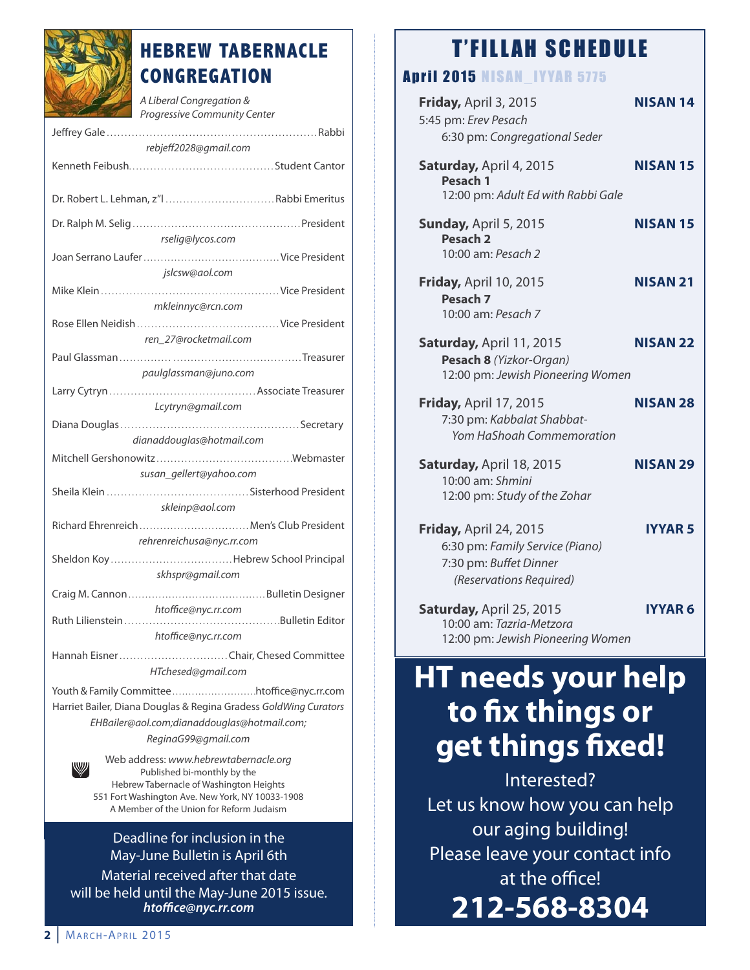

## **HEBREW TABERNACLE CONGREGATION**

A Liberal Congregation & Progressive Community Center

| rebjeff2028@gmail.com                                            |
|------------------------------------------------------------------|
|                                                                  |
| Dr. Robert L. Lehman, z"   Rabbi Emeritus                        |
|                                                                  |
| rselig@lycos.com                                                 |
| jslcsw@aol.com                                                   |
|                                                                  |
|                                                                  |
| mkleinnyc@rcn.com                                                |
|                                                                  |
| ren 27@rocketmail.com                                            |
|                                                                  |
| paulglassman@juno.com                                            |
|                                                                  |
| Lcytryn@gmail.com                                                |
|                                                                  |
| dianaddouglas@hotmail.com                                        |
|                                                                  |
| susan_gellert@yahoo.com                                          |
|                                                                  |
| skleinp@aol.com                                                  |
|                                                                  |
| Richard Ehrenreich  Men's Club President                         |
| rehrenreichusa@nyc.rr.com                                        |
|                                                                  |
| skhspr@gmail.com                                                 |
|                                                                  |
| htoffice@nyc.rr.com                                              |
|                                                                  |
| htoffice@nyc.rr.com                                              |
| Hannah Eisner Chair, Chesed Committee                            |
| HTchesed@gmail.com                                               |
|                                                                  |
| Harriet Bailer, Diana Douglas & Regina Gradess GoldWing Curators |
| EHBailer@aol.com;dianaddouglas@hotmail.com;                      |
| ReginaG99@gmail.com                                              |
| Web address: www.hebrewtabernacle.org                            |
| W<br>Published bi-monthly by the                                 |
| Hebrew Tabernacle of Washington Heights                          |
| 551 Fort Washington Ave. New York, NY 10033-1908                 |

A Member of the Union for Reform Judaism

Deadline for inclusion in the May-June Bulletin is April 6th Material received after that date will be held until the May-June 2015 issue. *htoffice@nyc.rr.com*

## **T'FILLAH SCHEDULE**

### **Anril 2015 NISAN LIVYAR 5775**

| Friday, April 3, 2015<br>5:45 pm: Erev Pesach<br>6:30 pm: Congregational Seder                                        | <b>NISAN 14</b> |
|-----------------------------------------------------------------------------------------------------------------------|-----------------|
| Saturday, April 4, 2015<br>Pesach 1<br>12:00 pm: Adult Ed with Rabbi Gale                                             | NISAN 15        |
| Sunday, April 5, 2015<br>Pesach <sub>2</sub><br>10:00 am: Pesach 2                                                    | NISAN 15        |
| Friday, April 10, 2015<br>Pesach <sub>7</sub><br>10:00 am: Pesach 7                                                   | <b>NISAN 21</b> |
| Saturday, April 11, 2015<br>Pesach 8 (Yizkor-Organ)<br>12:00 pm: Jewish Pioneering Women                              | NISAN 22        |
| <b>Friday, April 17, 2015</b><br>7:30 pm: Kabbalat Shabbat-<br>Yom HaShoah Commemoration                              | <b>NISAN 28</b> |
| Saturday, April 18, 2015<br>10:00 am: Shmini<br>12:00 pm: Study of the Zohar                                          | <b>NISAN 29</b> |
| <b>Friday, April 24, 2015</b><br>6:30 pm: Family Service (Piano)<br>7:30 pm: Buffet Dinner<br>(Reservations Required) | <b>IYYAR5</b>   |
| Saturday, April 25, 2015<br>10:00 am: Tazria-Metzora<br>12:00 pm: Jewish Pioneering Women                             | <b>IYYAR 6</b>  |
|                                                                                                                       |                 |

## **HT needs your help to fix things or get things fixed!**

Interested? Let us know how you can help our aging building! Please leave your contact info at the office! **212-568-8304**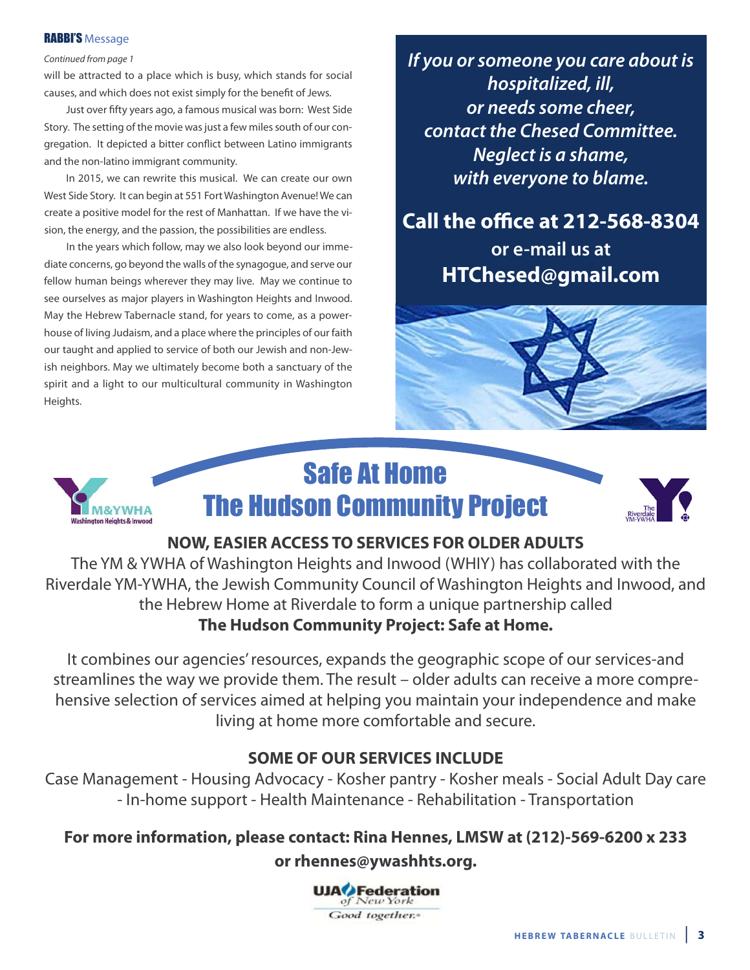#### RABBI'S Message

#### Continued from page 1

will be attracted to a place which is busy, which stands for social causes, and which does not exist simply for the benefit of Jews.

Just over fifty years ago, a famous musical was born: West Side Story. The setting of the movie was just a few miles south of our congregation. It depicted a bitter conflict between Latino immigrants and the non-latino immigrant community.

In 2015, we can rewrite this musical. We can create our own West Side Story. It can begin at 551 Fort Washington Avenue! We can create a positive model for the rest of Manhattan. If we have the vision, the energy, and the passion, the possibilities are endless.

In the years which follow, may we also look beyond our immediate concerns, go beyond the walls of the synagogue, and serve our fellow human beings wherever they may live. May we continue to see ourselves as major players in Washington Heights and Inwood. May the Hebrew Tabernacle stand, for years to come, as a powerhouse of living Judaism, and a place where the principles of our faith our taught and applied to service of both our Jewish and non-Jewish neighbors. May we ultimately become both a sanctuary of the spirit and a light to our multicultural community in Washington Heights.

*If you or someone you care about is hospitalized, ill, or needs some cheer, contact the Chesed Committee. Neglect is a shame, with everyone to blame.*

## **Call the office at 212-568-8304 or e-mail us at HTChesed@gmail.com**





## Safe At Home The Hudson Community Project



### **NOW, EASIER ACCESS TO SERVICES FOR OLDER ADULTS**

The YM & YWHA of Washington Heights and Inwood (WHIY) has collaborated with the Riverdale YM-YWHA, the Jewish Community Council of Washington Heights and Inwood, and the Hebrew Home at Riverdale to form a unique partnership called **The Hudson Community Project: Safe at Home.**

It combines our agencies' resources, expands the geographic scope of our services-and streamlines the way we provide them. The result – older adults can receive a more comprehensive selection of services aimed at helping you maintain your independence and make living at home more comfortable and secure.

### **SOME OF OUR SERVICES INCLUDE**

Case Management - Housing Advocacy - Kosher pantry - Kosher meals - Social Adult Day care - In-home support - Health Maintenance - Rehabilitation - Transportation

### **For more information, please contact: Rina Hennes, LMSW at (212)-569-6200 x 233**

**or rhennes@ywashhts.org.**

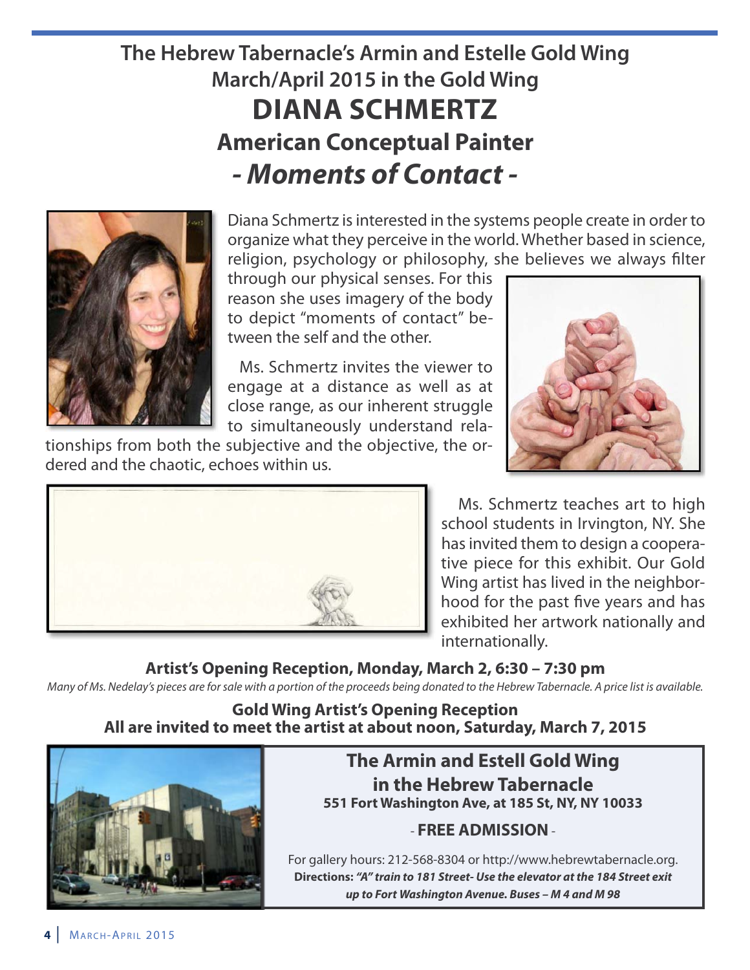## **The Hebrew Tabernacle's Armin and Estelle Gold Wing March/April 2015 in the Gold Wing DIANA SCHMERTz American Conceptual Painter** *- Moments of Contact -*



Diana Schmertz is interested in the systems people create in order to organize what they perceive in the world. Whether based in science, religion, psychology or philosophy, she believes we always filter

through our physical senses. For this reason she uses imagery of the body to depict "moments of contact" between the self and the other.

Ms. Schmertz invites the viewer to engage at a distance as well as at close range, as our inherent struggle to simultaneously understand rela-

tionships from both the subjective and the objective, the ordered and the chaotic, echoes within us.



Ms. Schmertz teaches art to high school students in Irvington, NY. She has invited them to design a cooperative piece for this exhibit. Our Gold Wing artist has lived in the neighborhood for the past five years and has exhibited her artwork nationally and internationally.

**Artist's Opening Reception, Monday, March 2, 6:30 – 7:30 pm** Many of Ms. Nedelay's pieces are for sale with a portion of the proceeds being donated to the Hebrew Tabernacle. A price list is available.

**Gold Wing Artist's Opening Reception All are invited to meet the artist at about noon, Saturday, March 7, 2015**



**The Armin and Estell Gold Wing in the Hebrew Tabernacle 551 Fort Washington Ave, at 185 St, NY, NY 10033**

## - **FREE ADMISSION**-

For gallery hours: 212-568-8304 or http://www.hebrewtabernacle.org. **Directions:** *"A" train to 181 Street- Use the elevator at the 184 Street exit up to Fort Washington Avenue. Buses – M 4 and M 98*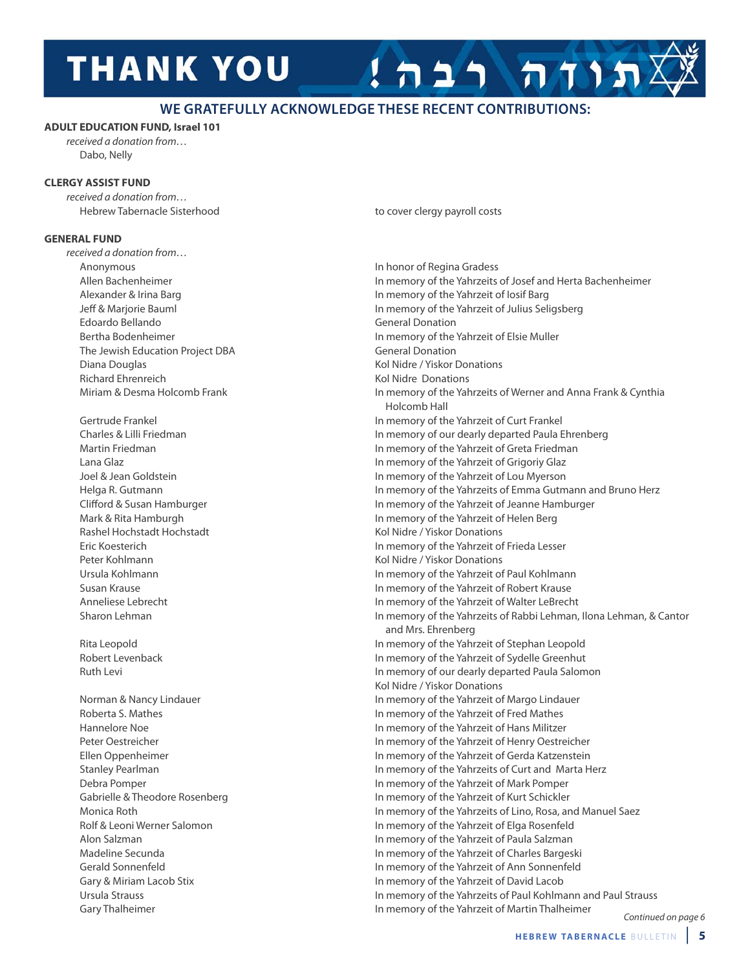## **THANK YOU**

#### **WE GRATEFULLY ACKNOWLEDGE THESE RECENT CONTRIBUTIONS:**

#### **ADULT EDUCATION FUND, Israel 101**

received a donation from…

Dabo, Nelly

#### **CLERGY ASSIST FUND**

received a donation from… Hebrew Tabernacle Sisterhood and the cover clergy payroll costs

#### **GENERAL FUND**

received a donation from… Anonymous In honor of Regina Gradess edoardo Bellando General Donation The Jewish Education Project DBA General Donation Diana Douglas **National Structure Control of Contract Contract Control Control Control Operations** Kol Nidre / Yiskor Donations Richard Ehrenreich **Kolleg aus and Elizabeth Kolleg and Kolleg Andreich Kolleg Andreich Kolleg Andreich Kolleg Andreich Kolleg Andreich Kolleg Andreich Kolleg Andreich Kolleg Andreich Kolleg Andreich Kolleg Andreich Kolleg** 

Rashel Hochstadt Hochstadt **Kol Nidre / Yiskor Donations** Peter Kohlmann **Koll** Nidre / Yiskor Donations

תודה רבה

Allen Bachenheimer In memory of the Yahrzeits of Josef and Herta Bachenheimer Alexander & Irina Barg In memory of the Yahrzeit of Iosif Barg In memory of the Yahrzeit of Iosif Barg Jeff & Marjorie Bauml In memory of the Yahrzeit of Julius Seligsberg Bertha Bodenheimer **In memory of the Yahrzeit of Elsie Muller** Miriam & Desma Holcomb Frank In Miriam In memory of the Yahrzeits of Werner and Anna Frank & Cynthia Holcomb Hall Gertrude Frankel In memory of the Yahrzeit of Curt Frankel Charles & Lilli Friedman In memory of our dearly departed Paula ehrenberg Martin Friedman In memory of the Yahrzeit of Greta Friedman Lana Glaz **In memory of the Yahrzeit of Grigoriy Glaz** Joel & Jean Goldstein In memory of the Yahrzeit of Lou Myerson Helga R. Gutmann **In memory of the Yahrzeits of Emma Gutmann** and Bruno Herz Clifford & Susan Hamburger In memory of the Yahrzeit of Jeanne Hamburger Mark & Rita Hamburgh In memory of the Yahrzeit of Helen Berg eric Koesterich In memory of the Yahrzeit of Frieda Lesser Ursula Kohlmann **In memory of the Yahrzeit of Paul Kohlmann** Susan Krause In memory of the Yahrzeit of Robert Krause Anneliese Lebrecht In memory of the Yahrzeit of Walter LeBrecht Sharon Lehman **In memory of the Yahrzeits of Rabbi Lehman**, Ilona Lehman, & Cantor and Mrs. Ehrenberg Rita Leopold In memory of the Yahrzeit of Stephan Leopold Robert Levenback **In memory of the Yahrzeit of Sydelle Greenhut** In memory of the Yahrzeit of Sydelle Greenhut Ruth Levi **In memory of our dearly departed Paula Salomon** Kol Nidre / Yiskor Donations Norman & Nancy Lindauer **In memory of the Yahrzeit of Margo Lindauer** In memory of the Yahrzeit of Margo Lindauer Roberta S. Mathes **In memory of the Yahrzeit of Fred Mathes** In memory of the Yahrzeit of Fred Mathes Hannelore Noe **In the Value of Tanach Contract of Hans** Militzer in memory of the Yahrzeit of Hans Militzer Peter oestreicher In memory of the Yahrzeit of Henry oestreicher ellen oppenheimer In memory of the Yahrzeit of Gerda Katzenstein Stanley Pearlman **In memory of the Yahrzeits of Curt and Marta Herz** In memory of the Yahrzeits of Curt and Marta Herz Debra Pomper In memory of the Yahrzeit of Mark Pomper Gabrielle & Theodore Rosenberg **In Markow In memory of the Yahrzeit of Kurt Schickler** Monica Roth In memory of the Yahrzeits of Lino, Rosa, and Manuel Saez Rolf & Leoni Werner Salomon **In Markow In memory of the Yahrzeit of Elga Rosenfeld** Alon Salzman In memory of the Yahrzeit of Paula Salzman Madeline Secunda **In memory of the Yahrzeit of Charles Bargeski**n Madeline Secunda Gerald Sonnenfeld In memory of the Yahrzeit of Ann Sonnenfeld Gary & Miriam Lacob Stix In memory of the Yahrzeit of David Lacob ursula Strauss In memory of the Yahrzeits of Paul Kohlmann and Paul Strauss Gary Thalheimer **In memory of the Yahrzeit of Martin Thalheimer** In memory of the Yahrzeit of Martin Thalheimer

Continued on page 6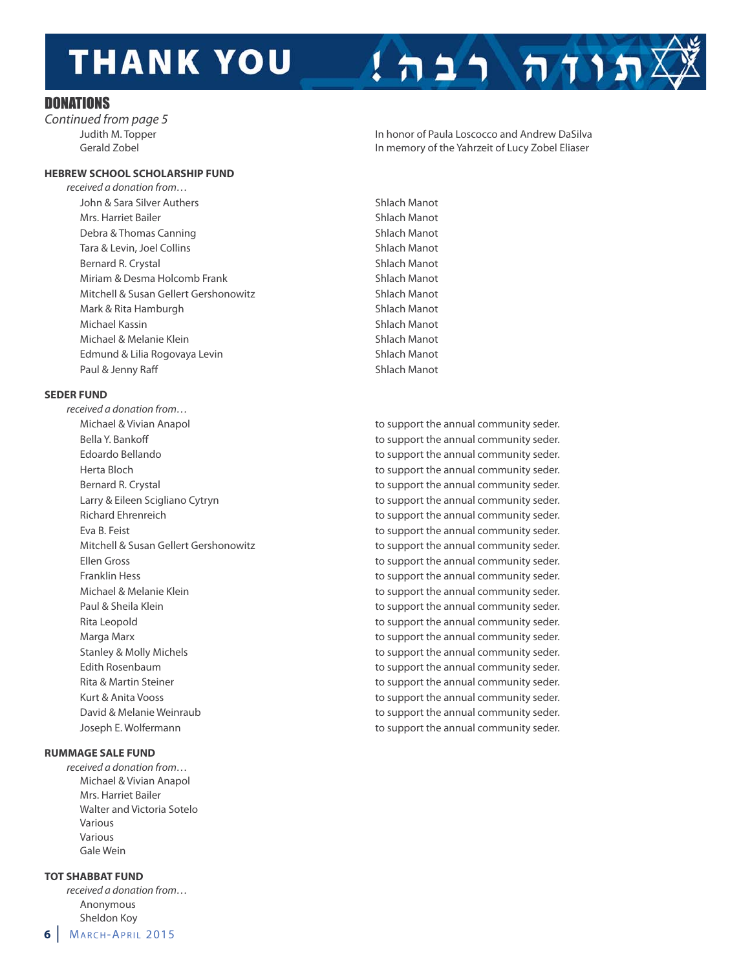## **THANK YOU**

#### **DONATIONS**

Continued from page 5<br>Judith M. Topper

#### **HEbREW SCHOOL SCHOLARSHIP FUND**

received a donation from… John & Sara Silver Authers Shlach Manot Mrs. Harriet Bailer Shlach Manot Debra & Thomas Canning Shlach Manot Tara & Levin, Joel Collins Shlach Manot Bernard R. Crystal Ship Shlach Manot Miriam & Desma Holcomb Frank Shlach Manot Mitchell & Susan Gellert Gershonowitz **Shlach Manot** Shlach Manot Mark & Rita Hamburgh Shlach Manot Michael Kassin Shippers and Shippers and Shippers Shippers Shippers Shippers Shippers Shippers Shippers Shippers Shippers Shippers Shippers Shippers Shippers Shippers Shippers Shippers Shippers Shippers Shippers Shippers S Michael & Melanie Klein Shlach Manot Edmund & Lilia Rogovaya Levin Shlach Manot Paul & Jenny Raff Shach Manot

#### **SEDER FUND**

received a donation from…

#### **RUMMAGE SALE FUND**

received a donation from… Michael & Vivian Anapol Mrs. Harriet Bailer Walter and Victoria Sotelo Various Various Gale Wein

#### **TOT SHABBAT FUND**

received a donation from… Anonymous Sheldon Koy

In honor of Paula Loscocco and Andrew DaSilva Gerald Zobel **In memory of the Yahrzeit of Lucy Zobel Eliaser** 

תוחה רבה!

Michael & Vivian Anapol to support the annual community seder. Bella Y. Bankoff to support the annual community seder. edoardo Bellando to support the annual community seder. Herta Bloch to support the annual community seder. Bernard R. Crystal to support the annual community seder. Larry & Eileen Scigliano Cytryn the annual community seder. Richard ehrenreich to support the annual community seder. Eva B. Feist to support the annual community seder. Mitchell & Susan Gellert Gershonowitz to support the annual community seder. Ellen Gross **the support of the annual community seder.** The support the annual community seder. Franklin Hess to support the annual community seder. Michael & Melanie Klein to support the annual community seder. Paul & Sheila Klein to support the annual community seder. Rita Leopold to support the annual community seder. Marga Marx to support the annual community seder. Stanley & Molly Michels to support the annual community seder. Edith Rosenbaum to support the annual community seder. Rita & Martin Steiner to support the annual community seder. Kurt & Anita Vooss **the annual community seder.** The support the annual community seder. David & Melanie Weinraub to support the annual community seder. Joseph E. Wolfermann **the support the annual community seder.** The support to support the annual community seder.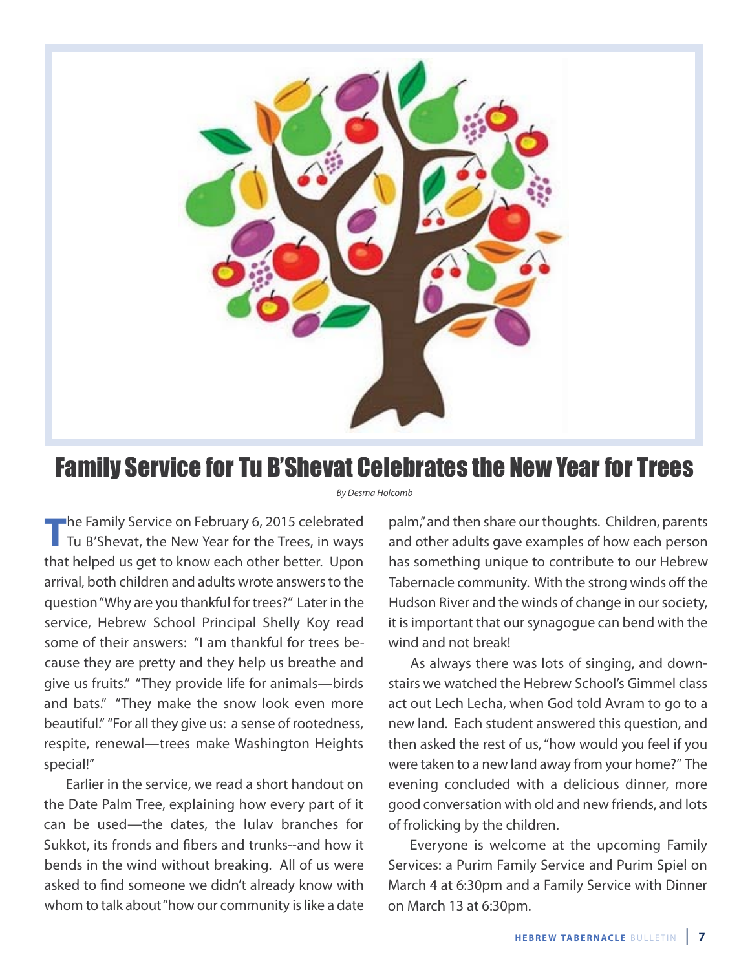

## Family Service for Tu B'Shevat Celebrates the New Year for Trees

By Desma Holcomb

**T**he Family Service on February 6, 2015 celebrated Tu B'Shevat, the New Year for the Trees, in ways that helped us get to know each other better. Upon arrival, both children and adults wrote answers to the question "Why are you thankful for trees?" Later in the service, Hebrew School Principal Shelly Koy read some of their answers: "I am thankful for trees because they are pretty and they help us breathe and give us fruits." "They provide life for animals—birds and bats." "They make the snow look even more beautiful." "For all they give us: a sense of rootedness, respite, renewal—trees make Washington Heights special!"

Earlier in the service, we read a short handout on the Date Palm Tree, explaining how every part of it can be used—the dates, the lulav branches for Sukkot, its fronds and fibers and trunks--and how it bends in the wind without breaking. All of us were asked to find someone we didn't already know with whom to talk about "how our community is like a date

palm," and then share our thoughts. Children, parents and other adults gave examples of how each person has something unique to contribute to our Hebrew Tabernacle community. With the strong winds off the Hudson River and the winds of change in our society, it is important that our synagogue can bend with the wind and not break!

As always there was lots of singing, and downstairs we watched the Hebrew School's Gimmel class act out Lech Lecha, when God told Avram to go to a new land. Each student answered this question, and then asked the rest of us, "how would you feel if you were taken to a new land away from your home?" The evening concluded with a delicious dinner, more good conversation with old and new friends, and lots of frolicking by the children.

Everyone is welcome at the upcoming Family Services: a Purim Family Service and Purim Spiel on March 4 at 6:30pm and a Family Service with Dinner on March 13 at 6:30pm.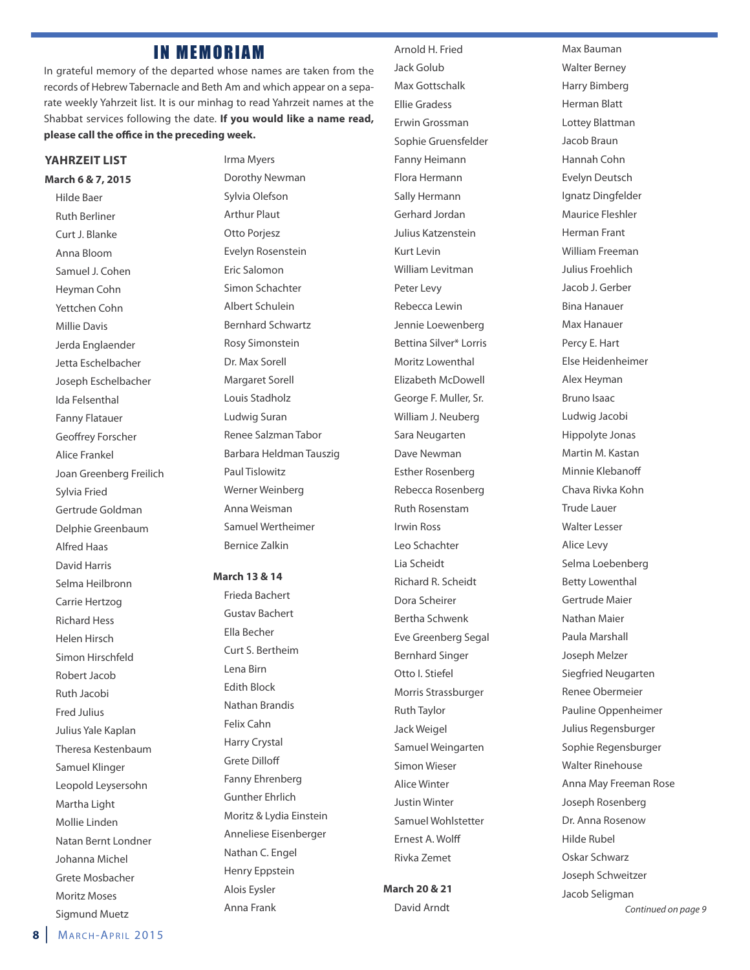### **IN MEMORIAM**

In grateful memory of the departed whose names are taken from the records of Hebrew Tabernacle and Beth Am and which appear on a separate weekly Yahrzeit list. It is our minhag to read Yahrzeit names at the Shabbat services following the date. **If you would like a name read, please call the office in the preceding week.**

#### **YAHRzEIT LIST March 6 & 7, 2015**

Hilde Baer Ruth Berliner Curt J. Blanke Anna Bloom Samuel J. Cohen Heyman Cohn Yettchen Cohn Millie Davis Jerda Englaender Jetta Eschelbacher Joseph Eschelbacher Ida Felsenthal Fanny Flatauer Geoffrey Forscher Alice Frankel Joan Greenberg Freilich Sylvia Fried Gertrude Goldman Delphie Greenbaum Alfred Haas David Harris Selma Heilbronn Carrie Hertzog Richard Hess Helen Hirsch Simon Hirschfeld Robert Jacob Ruth Jacobi Fred Julius Julius Yale Kaplan Theresa Kestenbaum Samuel Klinger Leopold Leysersohn Martha Light Mollie Linden Natan Bernt Londner Johanna Michel Grete Mosbacher Moritz Moses Sigmund Muetz

Irma Myers Dorothy Newman Sylvia olefson Arthur Plaut **Otto Porjesz** Evelyn Rosenstein Eric Salomon Simon Schachter Albert Schulein Bernhard Schwartz Rosy Simonstein Dr. Max Sorell Margaret Sorell Louis Stadholz Ludwig Suran Renee Salzman Tabor Barbara Heldman Tauszig Paul Tislowitz Werner Weinberg Anna Weisman Samuel Wertheimer Bernice Zalkin

#### **March 13 & 14**

Frieda Bachert Gustav Bachert **Flla Becher** Curt S. Bertheim Lena Birn **Fdith Block** Nathan Brandis Felix Cahn Harry Crystal Grete Dilloff Fanny Ehrenberg Gunther ehrlich Moritz & Lydia Einstein Anneliese Eisenberger Nathan C. Engel Henry Eppstein **Alois Eysler** Anna Frank

Arnold H. Fried Jack Golub Max Gottschalk ellie Gradess Erwin Grossman Sophie Gruensfelder Fanny Heimann Flora Hermann Sally Hermann Gerhard Jordan Julius Katzenstein Kurt Levin William Levitman Peter Levy Rebecca Lewin Jennie Loewenberg Bettina Silver\* Lorris Moritz Lowenthal Elizabeth McDowell George F. Muller, Sr. William J. Neuberg Sara Neugarten Dave Newman **Esther Rosenberg** Rebecca Rosenberg Ruth Rosenstam Irwin Ross Leo Schachter Lia Scheidt Richard R. Scheidt Dora Scheirer Bertha Schwenk Eve Greenberg Segal Bernhard Singer otto I. Stiefel Morris Strassburger Ruth Taylor Jack Weigel Samuel Weingarten Simon Wieser Alice Winter Justin Winter Samuel Wohlstetter ernest A. Wolff Rivka Zemet

#### **March 20 & 21**

David Arndt

Max Bauman Walter Berney Harry Bimberg Herman Blatt Lottey Blattman Jacob Braun Hannah Cohn Evelyn Deutsch Ignatz Dingfelder Maurice Fleshler Herman Frant William Freeman Julius Froehlich Jacob J. Gerber Bina Hanauer Max Hanauer Percy E. Hart Else Heidenheimer Alex Heyman Bruno Isaac Ludwig Jacobi Hippolyte Jonas Martin M. Kastan Minnie Klebanoff Chava Rivka Kohn Trude Lauer Walter Lesser Alice Levy Selma Loebenberg Betty Lowenthal Gertrude Maier Nathan Maier Paula Marshall Joseph Melzer Siegfried Neugarten Renee obermeier Pauline oppenheimer Julius Regensburger Sophie Regensburger Walter Rinehouse Anna May Freeman Rose Joseph Rosenberg Dr. Anna Rosenow Hilde Rubel oskar Schwarz Joseph Schweitzer Jacob Seligman

Continued on page 9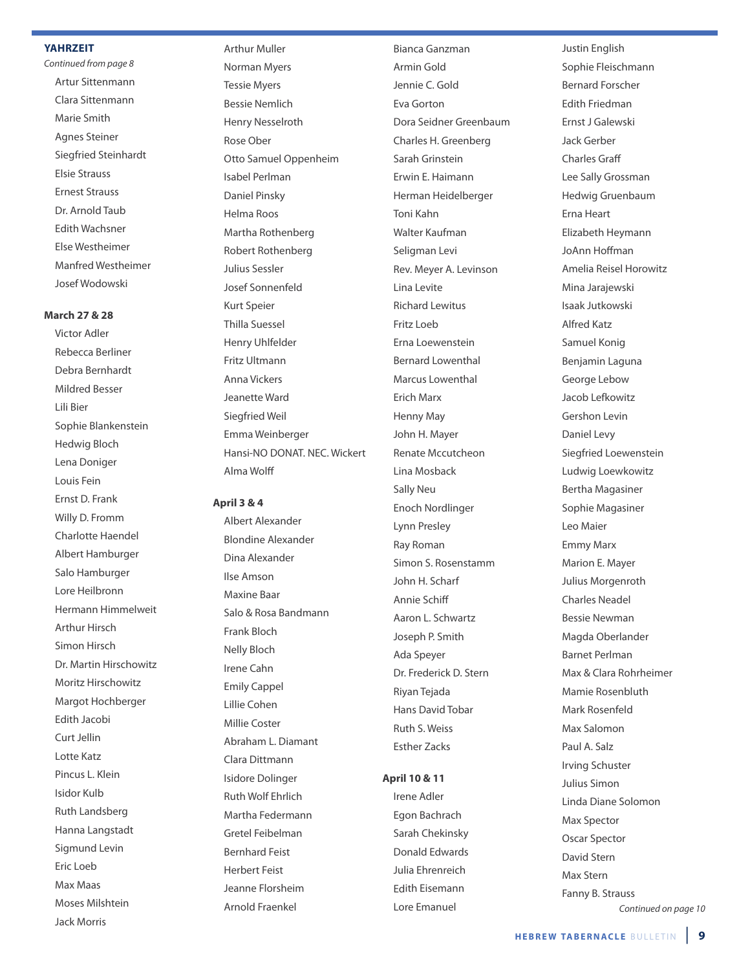#### **YAHRzEIT**

Continued from page 8 Artur Sittenmann Clara Sittenmann Marie Smith Agnes Steiner Siegfried Steinhardt elsie Strauss ernest Strauss Dr. Arnold Taub **Edith Wachsner** else Westheimer Manfred Westheimer Josef Wodowski

#### **March 27 & 28**

Victor Adler Rebecca Berliner Debra Bernhardt Mildred Besser Lili Bier Sophie Blankenstein Hedwig Bloch Lena Doniger Louis Fein Ernst D. Frank Willy D. Fromm Charlotte Haendel Albert Hamburger Salo Hamburger Lore Heilbronn Hermann Himmelweit Arthur Hirsch Simon Hirsch Dr. Martin Hirschowitz Moritz Hirschowitz Margot Hochberger **Edith Jacobi** Curt Jellin Lotte Katz Pincus L. Klein Isidor Kulb Ruth Landsberg Hanna Langstadt Sigmund Levin Eric Loeb Max Maas Moses Milshtein Jack Morris

Arthur Muller Norman Myers Tessie Myers Bessie Nemlich Henry Nesselroth Rose ober otto Samuel oppenheim Isabel Perlman Daniel Pinsky Helma Roos Martha Rothenberg Robert Rothenberg Julius Sessler Josef Sonnenfeld Kurt Speier Thilla Suessel Henry Uhlfelder Fritz Ultmann Anna Vickers Jeanette Ward Siegfried Weil Emma Weinberger Hansi-No DoNAT. NeC. Wickert Alma Wolff

#### **April 3 & 4**

Albert Alexander Blondine Alexander Dina Alexander Ilse Amson Maxine Baar Salo & Rosa Bandmann Frank Bloch Nelly Bloch Irene Cahn **Emily Cappel** Lillie Cohen Millie Coster Abraham L. Diamant Clara Dittmann Isidore Dolinger Ruth Wolf ehrlich Martha Federmann Gretel Feibelman Bernhard Feist Herbert Feist Jeanne Florsheim Arnold Fraenkel

Bianca Ganzman Armin Gold Jennie C. Gold **Eva Gorton** Dora Seidner Greenbaum Charles H. Greenberg Sarah Grinstein Erwin E. Haimann Herman Heidelberger Toni Kahn Walter Kaufman Seligman Levi Rev. Meyer A. Levinson Lina Levite Richard Lewitus Fritz Loeb Erna Loewenstein Bernard Lowenthal Marcus Lowenthal **Erich Marx** Henny May John H. Mayer Renate Mccutcheon Lina Mosback Sally Neu **Enoch Nordlinger** Lynn Presley Ray Roman Simon S. Rosenstamm John H. Scharf Annie Schiff Aaron L. Schwartz Joseph P. Smith Ada Speyer Dr. Frederick D. Stern Riyan Tejada Hans David Tobar Ruth S. Weiss **Esther Zacks** 

#### **April 10 & 11**

Irene Adler Egon Bachrach Sarah Chekinsky Donald Edwards Julia ehrenreich Edith Eisemann Lore Emanuel

**Justin English** Sophie Fleischmann Bernard Forscher **Edith Friedman** Ernst J Galewski Jack Gerber Charles Graff Lee Sally Grossman Hedwig Gruenbaum Erna Heart elizabeth Heymann JoAnn Hoffman Amelia Reisel Horowitz Mina Jarajewski Isaak Jutkowski Alfred Katz Samuel Konig Benjamin Laguna George Lebow Jacob Lefkowitz Gershon Levin Daniel Levy Siegfried Loewenstein Ludwig Loewkowitz Bertha Magasiner Sophie Magasiner Leo Maier **Emmy Marx** Marion E. Mayer Julius Morgenroth Charles Neadel Bessie Newman Magda oberlander Barnet Perlman Max & Clara Rohrheimer Mamie Rosenbluth Mark Rosenfeld Max Salomon Paul A. Salz Irving Schuster Julius Simon Linda Diane Solomon Max Spector oscar Spector David Stern Max Stern Fanny B. Strauss

Continued on page 10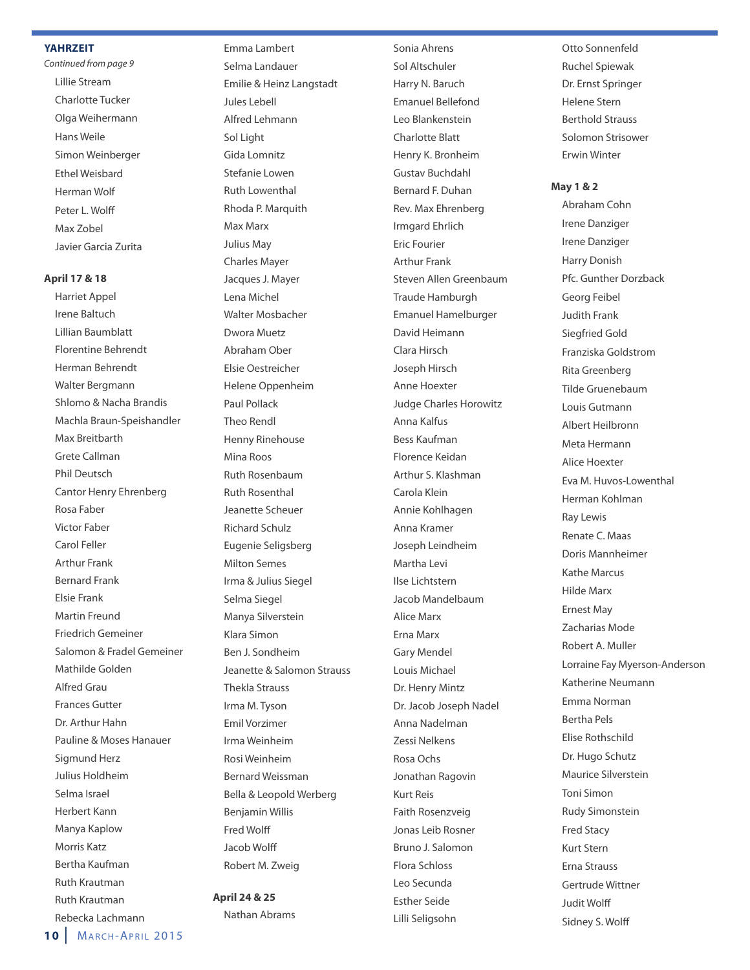#### **YAHRzEIT**

Continued from page 9 Lillie Stream Charlotte Tucker olga Weihermann Hans Weile Simon Weinberger **Ethel Weisbard** Herman Wolf Peter L. Wolff Max Zobel Javier Garcia Zurita

#### **April 17 & 18**

Harriet Appel Irene Baltuch Lillian Baumblatt Florentine Behrendt Herman Behrendt Walter Bergmann Shlomo & Nacha Brandis Machla Braun-Speishandler Max Breitbarth Grete Callman Phil Deutsch Cantor Henry ehrenberg Rosa Faber Victor Faber Carol Feller Arthur Frank Bernard Frank elsie Frank Martin Freund Friedrich Gemeiner Salomon & Fradel Gemeiner Mathilde Golden Alfred Grau Frances Gutter Dr. Arthur Hahn Pauline & Moses Hanauer Sigmund Herz Julius Holdheim Selma Israel Herbert Kann Manya Kaplow Morris Katz Bertha Kaufman Ruth Krautman Ruth Krautman Rebecka Lachmann

Emma Lambert Selma Landauer emilie & Heinz Langstadt Jules Lebell Alfred Lehmann Sol Light Gida Lomnitz Stefanie Lowen Ruth Lowenthal Rhoda P. Marquith Max Marx Julius May Charles Mayer Jacques J. Mayer Lena Michel Walter Mosbacher Dwora Muetz Abraham ober elsie oestreicher Helene oppenheim Paul Pollack Theo Rendl Henny Rinehouse Mina Roos Ruth Rosenbaum Ruth Rosenthal Jeanette Scheuer Richard Schulz Eugenie Seligsberg Milton Semes Irma & Julius Siegel Selma Siegel Manya Silverstein Klara Simon Ben J. Sondheim Jeanette & Salomon Strauss Thekla Strauss Irma M. Tyson **Emil Vorzimer** Irma Weinheim Rosi Weinheim Bernard Weissman Bella & Leopold Werberg Benjamin Willis Fred Wolff Jacob Wolff Robert M. Zweig

**April 24 & 25** Nathan Abrams

Sonia Ahrens Sol Altschuler Harry N. Baruch **Emanuel Bellefond** Leo Blankenstein Charlotte Blatt Henry K. Bronheim Gustav Buchdahl Bernard F. Duhan Rev. Max Ehrenberg Irmgard ehrlich **Eric Fourier** Arthur Frank Steven Allen Greenbaum Traude Hamburgh emanuel Hamelburger David Heimann Clara Hirsch Joseph Hirsch Anne Hoexter Judge Charles Horowitz Anna Kalfus Bess Kaufman Florence Keidan Arthur S. Klashman Carola Klein Annie Kohlhagen Anna Kramer Joseph Leindheim Martha Levi Ilse Lichtstern Jacob Mandelbaum Alice Marx Erna Marx Gary Mendel Louis Michael Dr. Henry Mintz Dr. Jacob Joseph Nadel Anna Nadelman Zessi Nelkens Rosa Ochs Jonathan Ragovin Kurt Reis Faith Rosenzveig Jonas Leib Rosner Bruno J. Salomon Flora Schloss Leo Secunda **Esther Seide** Lilli Seligsohn

otto Sonnenfeld Ruchel Spiewak Dr. Ernst Springer Helene Stern Berthold Strauss Solomon Strisower **Erwin Winter** 

**May 1 & 2**

Abraham Cohn Irene Danziger Irene Danziger Harry Donish Pfc. Gunther Dorzback Georg Feibel Judith Frank Siegfried Gold Franziska Goldstrom Rita Greenberg Tilde Gruenebaum Louis Gutmann Albert Heilbronn Meta Hermann Alice Hoexter Eva M. Huvos-Lowenthal Herman Kohlman Ray Lewis Renate C. Maas Doris Mannheimer Kathe Marcus Hilde Marx **Ernest May** Zacharias Mode Robert A. Muller Lorraine Fay Myerson-Anderson Katherine Neumann Emma Norman Bertha Pels elise Rothschild Dr. Hugo Schutz Maurice Silverstein Toni Simon Rudy Simonstein Fred Stacy Kurt Stern **Erna Strauss** Gertrude Wittner Judit Wolff Sidney S. Wolff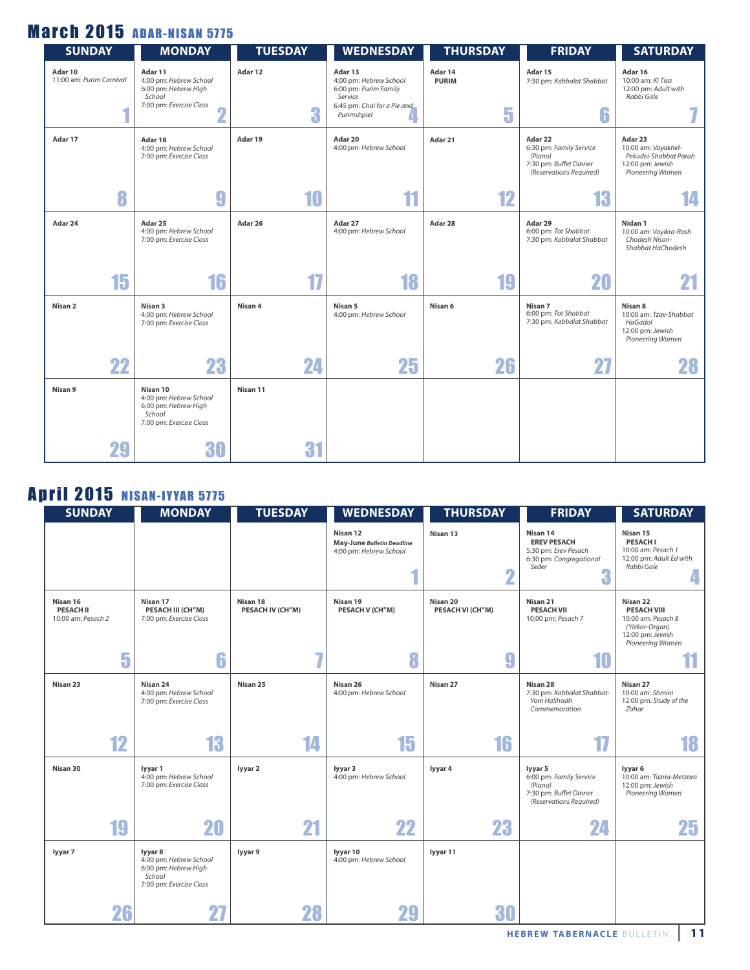## **March 2015 ADAR-NISAN 5775**

| <b>SUNDAY</b>                       | <b>MONDAY</b>                                                                                       | <b>TUESDAY</b>     | <b>WEDNESDAY</b>                                                                                                    | <b>THURSDAY</b>              | <b>FRIDAY</b>                                                                                      | <b>SATURDAY</b>                                                                                 |
|-------------------------------------|-----------------------------------------------------------------------------------------------------|--------------------|---------------------------------------------------------------------------------------------------------------------|------------------------------|----------------------------------------------------------------------------------------------------|-------------------------------------------------------------------------------------------------|
| Adar 10<br>11:00 am: Purim Carnival | Adar 11<br>4:00 pm: Hebrew School<br>6:00 pm: Hebrew High<br>School<br>7:00 pm: Exercise Class<br>Ω | Adar 12<br>G<br>h. | Adar 13<br>4:00 pm: Hebrew School<br>6:00 pm: Purim Family<br>Service<br>6:45 pm: Chai for a Pie and<br>Purimshpiel | Adar 14<br><b>PURIM</b><br>5 | Adar 15<br>7:30 pm: Kabbalat Shabbat<br>6                                                          | Adar 16<br>10:00 am: Ki Tisa<br>12:00 pm: Adult with<br>Rabbi Gale                              |
| Adar 17                             | Adar 18<br>4:00 pm: Hebrew School<br>7:00 pm: Exercise Class                                        | Adar 19            | Adar 20<br>4:00 pm: Hebrew School                                                                                   | Adar 21                      | Adar 22<br>6:30 pm: Family Service<br>(Piano)<br>7:30 pm: Buffet Dinner<br>(Reservations Required) | Adar 23<br>10:00 am: Vayakhel-<br>Pekudei-Shabbat Parah<br>12:00 pm: Jewish<br>Pioneering Women |
| 8                                   | 9                                                                                                   | 10                 | 11                                                                                                                  | 12                           | 13                                                                                                 |                                                                                                 |
| Adar 24                             | Adar 25<br>4:00 pm: Hebrew School<br>7:00 pm: Exercise Class                                        | Adar 26            | Adar 27<br>4:00 pm: Hebrew School                                                                                   | Adar 28                      | Adar 29<br>6:00 pm: Tot Shabbat<br>7:30 pm: Kabbalat Shabbat                                       | Nidan 1<br>10:00 am: Vayikra-Rosh<br>Chodesh Nisan-<br>Shabbat HaChodesh                        |
| 15                                  | 16                                                                                                  | 17                 | 18                                                                                                                  | 19                           | 20                                                                                                 |                                                                                                 |
| Nisan 2                             | Nisan 3<br>4:00 pm: Hebrew School<br>7:00 pm: Exercise Class                                        | Nisan 4            | Nisan 5<br>4:00 pm: Hebrew School                                                                                   | Nisan 6                      | Nisan 7<br>6:00 pm: Tot Shabbat<br>7:30 pm: Kabbalat Shabbat                                       | Nisan 8<br>10:00 am: Tzav-Shabbat<br>HaGadol<br>12:00 pm: Jewish<br>Pioneering Women            |
| 22                                  | 23                                                                                                  | 24                 | 25                                                                                                                  | 26                           | 27                                                                                                 | 28                                                                                              |
| Nisan 9                             | Nisan 10<br>4:00 pm: Hebrew School<br>6:00 pm: Hebrew High<br>School<br>7:00 pm: Exercise Class     | Nisan 11           |                                                                                                                     |                              |                                                                                                    |                                                                                                 |
| 29                                  | 30                                                                                                  | 31                 |                                                                                                                     |                              |                                                                                                    |                                                                                                 |

## **April 2015 NISAN-IYYAR 5775**

| <b>SUNDAY</b>                                      | <b>MONDAY</b>                                                                                  | <b>TUESDAY</b>               | <b>WEDNESDAY</b>                                                        | <b>THURSDAY</b>              | <b>FRIDAY</b>                                                                                         | <b>SATURDAY</b>                                                                                                |
|----------------------------------------------------|------------------------------------------------------------------------------------------------|------------------------------|-------------------------------------------------------------------------|------------------------------|-------------------------------------------------------------------------------------------------------|----------------------------------------------------------------------------------------------------------------|
|                                                    |                                                                                                |                              | Nisan 12<br><b>May-June Bulletin Deadline</b><br>4:00 pm: Hebrew School | Nisan 13<br>2                | Nisan 14<br><b>EREV PESACH</b><br>5:30 pm: Erev Pesach<br>6:30 pm: Congregational<br>Seder<br>n<br>n. | Nisan 15<br><b>PESACHI</b><br>10:00 am: Pesach 1<br>12:00 pm: Adult Ed with<br>Rabbi Gale                      |
| Nisan 16<br><b>PESACH II</b><br>10:00 am: Pesach 2 | Nisan 17<br>PESACH III (CH"M)<br>7:00 pm: Exercise Class                                       | Nisan 18<br>PESACH IV (CH"M) | Nisan 19<br>PESACH V (CH"M)                                             | Nisan 20<br>PESACH VI (CH"M) | Nisan 21<br><b>PESACH VII</b><br>10:00 pm: Pesach 7                                                   | Nisan 22<br><b>PESACH VIII</b><br>10:00 am: Pesach 8<br>(Yizkor-Organ)<br>12:00 pm: Jewish<br>Pioneering Women |
| 5                                                  | 6                                                                                              | $\overline{I}$               | 8                                                                       | 9                            | 10                                                                                                    |                                                                                                                |
| Nisan 23                                           | Nisan 24<br>4:00 pm: Hebrew School<br>7:00 pm: Exercise Class                                  | Nisan 25                     | Nisan 26<br>4:00 pm: Hebrew School                                      | Nisan 27                     | Nisan 28<br>7:30 pm: Kabbalat Shabbat-<br>Yom HaShoah<br>Commemoration                                | Nisan 27<br>10:00 am: Shmini<br>12:00 pm: Study of the<br>Zohar                                                |
| 12                                                 | 13                                                                                             | 14                           | 15                                                                      | 16                           |                                                                                                       | 18                                                                                                             |
| Nisan 30                                           | lyyar 1<br>4:00 pm: Hebrew School<br>7:00 pm: Exercise Class                                   | lyyar 2                      | lyyar 3<br>4:00 pm: Hebrew School                                       | lyyar 4                      | lyyar 5<br>6:00 pm: Family Service<br>(Piano)<br>7:30 pm: Buffet Dinner<br>(Reservations Required)    | lyyar 6<br>10:00 am: Tazria-Metzora<br>12:00 pm: Jewish<br>Pioneering Women                                    |
| 19                                                 | 20                                                                                             | 21                           | 22                                                                      | 23                           | 24                                                                                                    | 25                                                                                                             |
| lyyar 7                                            | lyyar 8<br>4:00 pm: Hebrew School<br>6:00 pm: Hebrew High<br>School<br>7:00 pm: Exercise Class | lyyar 9                      | lyyar 10<br>4:00 pm: Hebrew School                                      | lyyar 11                     |                                                                                                       |                                                                                                                |
| 26                                                 |                                                                                                | 28                           |                                                                         | 30                           |                                                                                                       |                                                                                                                |